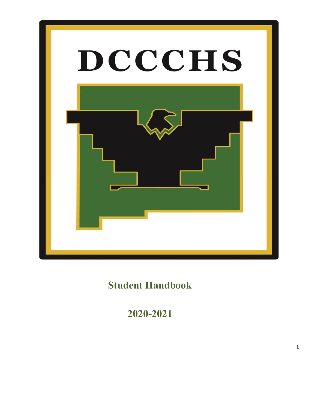

 **Student Handbook** 

 **2020-2021**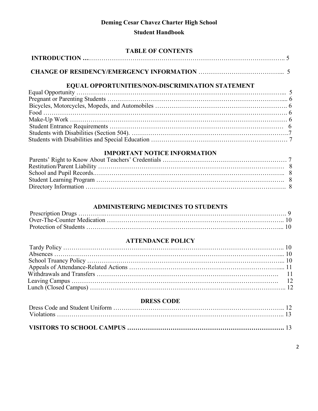# **Deming Cesar Chavez Charter High School**

# **Student Handbook**

| <b>TABLE OF CONTENTS</b>                                                                                                                                              |  |
|-----------------------------------------------------------------------------------------------------------------------------------------------------------------------|--|
| INTRODUCTION $\ldots$ $\ldots$ $\ldots$ $\ldots$ $\ldots$ $\ldots$ $\ldots$ $\ldots$ $\ldots$ $\ldots$ $\ldots$ $\ldots$ $\ldots$ $\ldots$ $\ldots$ $\ldots$ $\ldots$ |  |
|                                                                                                                                                                       |  |
|                                                                                                                                                                       |  |
|                                                                                                                                                                       |  |
|                                                                                                                                                                       |  |
|                                                                                                                                                                       |  |
|                                                                                                                                                                       |  |
|                                                                                                                                                                       |  |
|                                                                                                                                                                       |  |
|                                                                                                                                                                       |  |
|                                                                                                                                                                       |  |
|                                                                                                                                                                       |  |

# **IMPORTANT NOTICE INFORMATION**

### **ADMINISTERING MEDICINES TO STUDENTS**

# **ATTENDANCE POLICY**

# **DRESS CODE**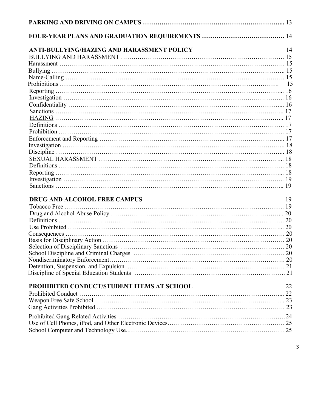| ANTI-BULLYING/HAZING AND HARASSMENT POLICY<br>14<br><b>DRUG AND ALCOHOL FREE CAMPUS</b><br>19<br>PROHIBITED CONDUCT/STUDENT ITEMS AT SCHOOL<br>22 |  |
|---------------------------------------------------------------------------------------------------------------------------------------------------|--|
|                                                                                                                                                   |  |
|                                                                                                                                                   |  |
|                                                                                                                                                   |  |
|                                                                                                                                                   |  |
|                                                                                                                                                   |  |
|                                                                                                                                                   |  |
|                                                                                                                                                   |  |
|                                                                                                                                                   |  |
|                                                                                                                                                   |  |
|                                                                                                                                                   |  |
|                                                                                                                                                   |  |
|                                                                                                                                                   |  |
|                                                                                                                                                   |  |
|                                                                                                                                                   |  |
|                                                                                                                                                   |  |
|                                                                                                                                                   |  |
|                                                                                                                                                   |  |
|                                                                                                                                                   |  |
|                                                                                                                                                   |  |
|                                                                                                                                                   |  |
|                                                                                                                                                   |  |
|                                                                                                                                                   |  |
|                                                                                                                                                   |  |
|                                                                                                                                                   |  |
|                                                                                                                                                   |  |
|                                                                                                                                                   |  |
|                                                                                                                                                   |  |
|                                                                                                                                                   |  |
|                                                                                                                                                   |  |
|                                                                                                                                                   |  |
|                                                                                                                                                   |  |
|                                                                                                                                                   |  |
|                                                                                                                                                   |  |
|                                                                                                                                                   |  |
|                                                                                                                                                   |  |
|                                                                                                                                                   |  |
|                                                                                                                                                   |  |
|                                                                                                                                                   |  |
|                                                                                                                                                   |  |
|                                                                                                                                                   |  |
|                                                                                                                                                   |  |
|                                                                                                                                                   |  |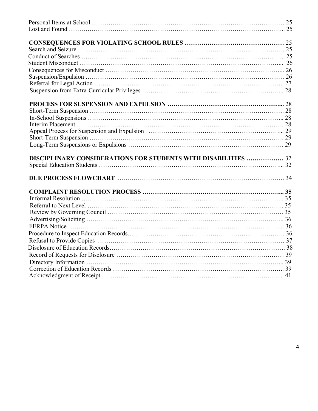| DISCIPLINARY CONSIDERATIONS FOR STUDENTS WITH DISABILITIES  32 |  |
|----------------------------------------------------------------|--|
|                                                                |  |
|                                                                |  |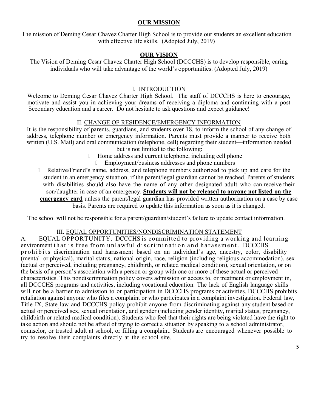#### **OUR MISSION**

The mission of Deming Cesar Chavez Charter High School is to provide our students an excellent education with effective life skills. (Adopted July, 2019)

#### **OUR VISION**

The Vision of Deming Cesar Chavez Charter High School (DCCCHS) is to develop responsible, caring individuals who will take advantage of the world's opportunities. (Adopted July, 2019)

#### I. INTRODUCTION

Welcome to Deming Cesar Chavez Charter High School. The staff of DCCCHS is here to encourage, motivate and assist you in achieving your dreams of receiving a diploma and continuing with a post Secondary education and a career. Do not hesitate to ask questions and expect guidance!

#### II. CHANGE OF RESIDENCE/EMERGENCY INFORMATION

It is the responsibility of parents, guardians, and students over 18, to inform the school of any change of address, telephone number or emergency information. Parents must provide a manner to receive both written (U.S. Mail) and oral communication (telephone, cell) regarding their student—information needed but is not limited to the following:

- Home address and current telephone, including cell phone
	- **Employment/business addresses and phone numbers**
- Relative/Friend's name, address, and telephone numbers authorized to pick up and care for the student in an emergency situation, if the parent/legal guardian cannot be reached. Parents of students with disabilities should also have the name of any other designated adult who can receive their son/daughter in case of an emergency. **Students will not be released to anyone not listed on the emergency card** unless the parent/legal guardian has provided written authorization on a case by case basis. Parents are required to update this information as soon as it is changed.

The school will not be responsible for a parent/guardian/student's failure to update contact information.

#### III. EQUAL OPPORTUNITIES/NONDISCRIMINATION STATEMENT

A. EQUAL OPPORTUNITY. DCCCHS is committed to providing a working and learning environment that is free from unlawful discrimination and harassment. DCCCHS p r o h i b it s discrimination and harassment based on an individual's age, ancestry, color, disability (mental or physical), marital status, national origin, race, religion (including religious accommodation), sex (actual or perceived, including pregnancy, childbirth, or related medical condition), sexual orientation, or on the basis of a person's association with a person or group with one or more of these actual or perceived characteristics. This nondiscrimination policy covers admission or access to, or treatment or employment in, all DCCCHS programs and activities, including vocational education. The lack of English language skills will not be a barrier to admission to or participation in DCCCHS programs or activities. DCCCHS prohibits retaliation against anyone who files a complaint or who participates in a complaint investigation. Federal law, Title IX, State law and DCCCHS policy prohibit anyone from discriminating against any student based on actual or perceived sex, sexual orientation, and gender (including gender identity, marital status, pregnancy, childbirth or related medical condition). Students who feel that their rights are being violated have the right to take action and should not be afraid of trying to correct a situation by speaking to a school administrator, counselor, or trusted adult at school, or filling a complaint. Students are encouraged whenever possible to try to resolve their complaints directly at the school site.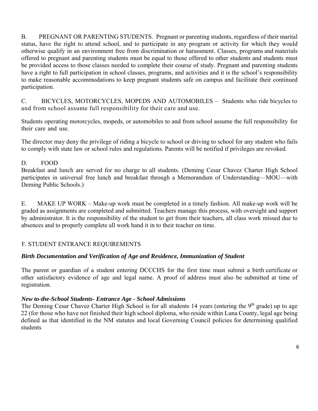B. PREGNANT OR PARENTING STUDENTS. Pregnant or parenting students, regardless of their marital status, have the right to attend school, and to participate in any program or activity for which they would otherwise qualify in an environment free from discrimination or harassment. Classes, programs and materials offered to pregnant and parenting students must be equal to those offered to other students and students must be provided access to those classes needed to complete their course of study. Pregnant and parenting students have a right to full participation in school classes, programs, and activities and it is the school's responsibility to make reasonable accommodations to keep pregnant students safe on campus and facilitate their continued participation.

C. BICYCLES, MOTORCYCLES, MOPEDS AND AUTOMOBILES – Students who ride bicycles to and from school assume full responsibility for their care and use.

Students operating motorcycles, mopeds, or automobiles to and from school assume the full responsibility for their care and use.

The director may deny the privilege of riding a bicycle to school or driving to school for any student who fails to comply with state law or school rules and regulations. Parents will be notified if privileges are revoked.

### D. FOOD

Breakfast and lunch are served for no charge to all students. (Deming Cesar Chavez Charter High School participates in universal free lunch and breakfast through a Memorandum of Understanding—MOU—with Deming Public Schools.)

E. MAKE UP WORK – Make-up work must be completed in a timely fashion. All make-up work will be graded as assignments are completed and submitted. Teachers manage this process, with oversight and support by administrator. It is the responsibility of the student to get from their teachers, all class work missed due to absences and to properly complete all work hand it in to their teacher on time.

# F. STUDENT ENTRANCE REQUIREMENTS

# *Birth Documentation and Verification of Age and Residence, Immunization of Student*

The parent or guardian of a student entering DCCCHS for the first time must submit a birth certificate or other satisfactory evidence of age and legal name. A proof of address must also be submitted at time of registration.

### *New to-the-School Students- Entrance Age - School Admissions*

The Deming Cesar Chavez Charter High School is for all students 14 years (entering the 9<sup>th</sup> grade) up to age 22 (for those who have not finished their high school diploma, who reside within Luna County, legal age being defined as that identified in the NM statutes and local Governing Council policies for determining qualified students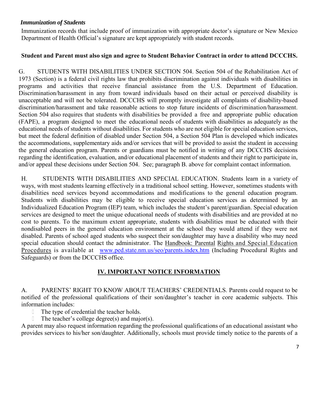### *Immunization of Students*

Immunization records that include proof of immunization with appropriate doctor's signature or New Mexico Department of Health Official's signature are kept appropriately with student records.

#### **Student and Parent must also sign and agree to Student Behavior Contract in order to attend DCCCHS.**

G. STUDENTS WITH DISABILITIES UNDER SECTION 504. Section 504 of the Rehabilitation Act of 1973 (Section) is a federal civil rights law that prohibits discrimination against individuals with disabilities in programs and activities that receive financial assistance from the U.S. Department of Education. Discrimination/harassment in any from toward individuals based on their actual or perceived disability is unacceptable and will not be tolerated. DCCCHS will promptly investigate all complaints of disability-based discrimination/harassment and take reasonable actions to stop future incidents of discrimination/harassment. Section 504 also requires that students with disabilities be provided a free and appropriate public education (FAPE), a program designed to meet the educational needs of students with disabilities as adequately as the educational needs of students without disabilities. For students who are not eligible for special education services, but meet the federal definition of disabled under Section 504, a Section 504 Plan is developed which indicates the accommodations, supplementary aids and/or services that will be provided to assist the student in accessing the general education program. Parents or guardians must be notified in writing of any DCCCHS decisions regarding the identification, evaluation, and/or educational placement of students and their right to participate in, and/or appeal these decisions under Section 504. See; paragraph B. above for complaint contact information.

H. STUDENTS WITH DISABILITIES AND SPECIAL EDUCATION. Students learn in a variety of ways, with most students learning effectively in a traditional school setting. However, sometimes students with disabilities need services beyond accommodations and modifications to the general education program. Students with disabilities may be eligible to receive special education services as determined by an Individualized Education Program (IEP) team, which includes the student's parent/guardian. Special education services are designed to meet the unique educational needs of students with disabilities and are provided at no cost to parents. To the maximum extent appropriate, students with disabilities must be educated with their nondisabled peers in the general education environment at the school they would attend if they were not disabled. Parents of school aged students who suspect their son/daughter may have a disability who may need special education should contact the administrator. The Handbook: Parental Rights and Special Education Procedures is available at www.ped.state.nm.us/seo/parents.index.htm (Including Procedural Rights and Safeguards) or from the DCCCHS office.

# **IV. IMPORTANT NOTICE INFORMATION**

A. PARENTS' RIGHT TO KNOW ABOUT TEACHERS' CREDENTIALS. Parents could request to be notified of the professional qualifications of their son/daughter's teacher in core academic subjects. This information includes:

- The type of credential the teacher holds.
- The teacher's college degree(s) and major(s).

A parent may also request information regarding the professional qualifications of an educational assistant who provides services to his/her son/daughter. Additionally, schools must provide timely notice to the parents of a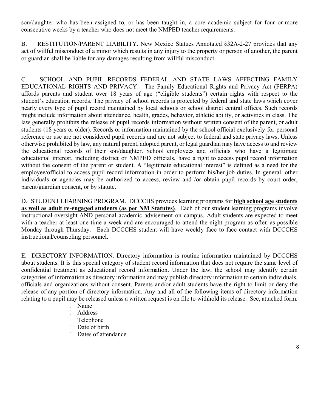son/daughter who has been assigned to, or has been taught in, a core academic subject for four or more consecutive weeks by a teacher who does not meet the NMPED teacher requirements.

B. RESTITUTION/PARENT LIABILITY. New Mexico Statues Annotated §32A-2-27 provides that any act of willful misconduct of a minor which results in any injury to the property or person of another, the parent or guardian shall be liable for any damages resulting from willful misconduct.

C. SCHOOL AND PUPIL RECORDS FEDERAL AND STATE LAWS AFFECTING FAMILY EDUCATIONAL RIGHTS AND PRIVACY. The Family Educational Rights and Privacy Act (FERPA) affords parents and student over 18 years of age ("eligible students") certain rights with respect to the student's education records. The privacy of school records is protected by federal and state laws which cover nearly every type of pupil record maintained by local schools or school district central offices. Such records might include information about attendance, health, grades, behavior, athletic ability, or activities in class. The law generally prohibits the release of pupil records information without written consent of the parent, or adult students (18 years or older). Records or information maintained by the school official exclusively for personal reference or use are not considered pupil records and are not subject to federal and state privacy laws. Unless otherwise prohibited by law, any natural parent, adopted parent, or legal guardian may have access to and review the educational records of their son/daughter. School employees and officials who have a legitimate educational interest, including district or NMPED officials, have a right to access pupil record information without the consent of the parent or student. A "legitimate educational interest" is defined as a need for the employee/official to access pupil record information in order to perform his/her job duties. In general, other individuals or agencies may be authorized to access, review and /or obtain pupil records by court order, parent/guardian consent, or by statute.

D. STUDENT LEARNING PROGRAM. DCCCHS provides learning programs for **high school age students as well as adult re-engaged students (as per NM Statutes)**. Each of our student learning programs involve instructional oversight AND personal academic advisement on campus. Adult students are expected to meet with a teacher at least one time a week and are encouraged to attend the night program as often as possible Monday through Thursday. Each DCCCHS student will have weekly face to face contact with DCCCHS instructional/counseling personnel.

E. DIRECTORY INFORMATION. Directory information is routine information maintained by DCCCHS about students. It is this special category of student record information that does not require the same level of confidential treatment as educational record information. Under the law, the school may identify certain categories of information as directory information and may publish directory information to certain individuals, officials and organizations without consent. Parents and/or adult students have the right to limit or deny the release of any portion of directory information. Any and all of the following items of directory information relating to a pupil may be released unless a written request is on file to withhold its release. See, attached form.

- Name
- Address
- Telephone
- Date of birth
- Dates of attendance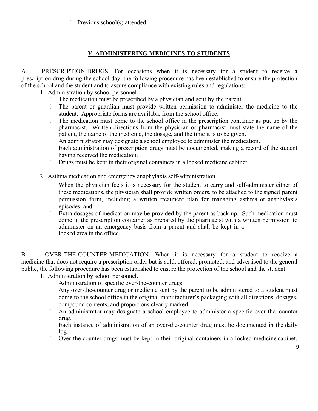Previous school(s) attended

### **V. ADMINISTERING MEDICINES TO STUDENTS**

A. PRESCRIPTION DRUGS. For occasions when it is necessary for a student to receive a prescription drug during the school day, the following procedure has been established to ensure the protection of the school and the student and to assure compliance with existing rules and regulations:

1. Administration by school personnel

- The medication must be prescribed by a physician and sent by the parent.
- The parent or guardian must provide written permission to administer the medicine to the student. Appropriate forms are available from the school office.
- The medication must come to the school office in the prescription container as put up by the pharmacist. Written directions from the physician or pharmacist must state the name of the patient, the name of the medicine, the dosage, and the time it is to be given.
- An administrator may designate a school employee to administer the medication.
- Each administration of prescription drugs must be documented, making a record of the student having received the medication.
- Drugs must be kept in their original containers in a locked medicine cabinet.
- 2. Asthma medication and emergency anaphylaxis self-administration.
	- When the physician feels it is necessary for the student to carry and self-administer either of these medications, the physician shall provide written orders, to be attached to the signed parent permission form, including a written treatment plan for managing asthma or anaphylaxis episodes; and
	- Extra dosages of medication may be provided by the parent as back up. Such medication must come in the prescription container as prepared by the pharmacist with a written permission to administer on an emergency basis from a parent and shall be kept in a locked area in the office.

B. OVER-THE-COUNTER MEDICATION. When it is necessary for a student to receive a medicine that does not require a prescription order but is sold, offered, promoted, and advertised to the general public, the following procedure has been established to ensure the protection of the school and the student:

- 1. Administration by school personnel.
	- Administration of specific over-the-counter drugs.
	- **Any over-the-counter drug or medicine sent by the parent to be administered to a student must** come to the school office in the original manufacturer's packaging with all directions, dosages, compound contents, and proportions clearly marked.
	- An administrator may designate a school employee to administer a specific over-the- counter drug.
	- Each instance of administration of an over-the-counter drug must be documented in the daily log.
	- Over-the-counter drugs must be kept in their original containers in a locked medicine cabinet.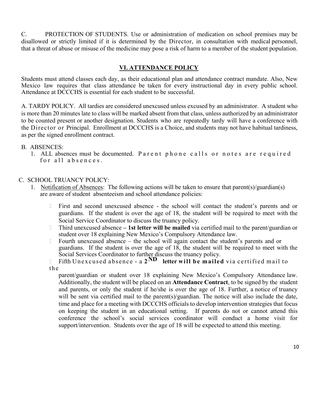C. PROTECTION OF STUDENTS. Use or administration of medication on school premises may be disallowed or strictly limited if it is determined by the Director, in consultation with medical personnel, that a threat of abuse or misuse of the medicine may pose a risk of harm to a member of the student population.

#### **VI. ATTENDANCE POLICY**

Students must attend classes each day, as their educational plan and attendance contract mandate. Also, New Mexico law requires that class attendance be taken for every instructional day in every public school. Attendance at DCCCHS is essential for each student to be successful.

A. TARDY POLICY. All tardies are considered unexcused unless excused by an administrator. A student who is more than 20 minutes late to class will be marked absent from that class, unless authorized by an administrator to be counted present or another designation. Students who are repeatedly tardy will have a conference with the Director or Principal. Enrollment at DCCCHS is a Choice, and students may not have habitual tardiness, as per the signed enrollment contract.

#### B. ABSENCES:

1. ALL absences must be documented. Parent phone calls or notes are required for all absences.

#### C. SCHOOL TRUANCY POLICY:

- 1. Notification of Absences: The following actions will be taken to ensure that parent(s)/guardian(s) are aware of student absenteeism and school attendance policies:
	- First and second unexcused absence the school will contact the student's parents and or guardians. If the student is over the age of 18, the student will be required to meet with the Social Service Coordinator to discuss the truancy policy.
	- Third unexcused absence  **1st letter will be mailed** via certified mail to the parent/guardian or student over 18 explaining New Mexico's Compulsory Attendance law.
	- Fourth unexcused absence the school will again contact the student's parents and or guardians. If the student is over the age of 18, the student will be required to meet with the Social Services Coordinator to further discuss the truancy policy.

 Fifth Unexcused absence - a **2ND letter wi l l b e mailed** via certified mail to the

parent/guardian or student over 18 explaining New Mexico's Compulsory Attendance law. Additionally, the student will be placed on an **Attendance Contract**, to be signed by the student and parents, or only the student if he/she is over the age of 18. Further, a notice of truancy will be sent via certified mail to the parent(s)/guardian. The notice will also include the date, time and place for a meeting with DCCCHS officials to develop intervention strategies that focus on keeping the student in an educational setting. If parents do not or cannot attend this conference the school's social services coordinator will conduct a home visit for support/intervention. Students over the age of 18 will be expected to attend this meeting.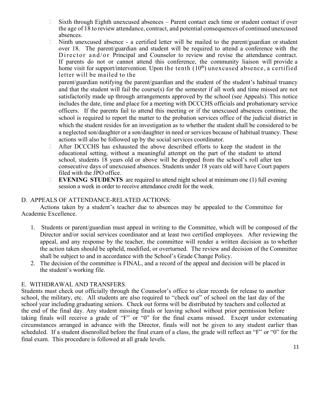- Sixth through Eighth unexcused absences Parent contact each time or student contact if over the age of 18 to review attendance, contract, and potential consequences of continued unexcused absences.
- Ninth unexcused absence a certified letter will be mailed to the parent/guardian or student over 18. The parent/guardian and student will be required to attend a conference with the Director and/or Principal and Counselor to review and revise the attendance contract. If parents do not or cannot attend this conference, the community liaison will provide a home visit for support/intervention. Upon the tenth  $(10<sup>th</sup>)$  unexcused absence, a certified letter will be mailed to the

parent/guardian notifying the parent/guardian and the student of the student's habitual truancy and that the student will fail the course(s) for the semester if all work and time missed are not satisfactorily made up through arrangements approved by the school (see Appeals). This notice includes the date, time and place for a meeting with DCCCHS officials and probationary service officers. If the parents fail to attend this meeting or if the unexcused absences continue, the school is required to report the matter to the probation services office of the judicial district in which the student resides for an investigation as to whether the student shall be considered to be a neglected son/daughter or a son/daughter in need or services because of habitual truancy. These actions will also be followed up by the social services coordinator.

- After DCCCHS has exhausted the above described efforts to keep the student in the educational setting, without a meaningful attempt on the part of the student to attend school, students 18 years old or above will be dropped from the school's roll after ten consecutive days of unexcused absences. Students under 18 years old will have Court papers filed with the JPO office.
- **EVENING STUDENTS** are required to attend night school at minimum one (1) full evening session a week in order to receive attendance credit for the week.

### D. APPEALS OF ATTENDANCE-RELATED ACTIONS:

Actions taken by a student's teacher due to absences may be appealed to the Committee for Academic Excellence.

- 1. Students or parent/guardian must appeal in writing to the Committee, which will be composed of the Director and/or social services coordinator and at least two certified employees. After reviewing the appeal, and any response by the teacher, the committee will render a written decision as to whether the action taken should be upheld, modified, or overturned. The review and decision of the Committee shall be subject to and in accordance with the School's Grade Change Policy.
- 2. The decision of the committee is FINAL, and a record of the appeal and decision will be placed in the student's working file.

#### E. WITHDRAWAL AND TRANSFERS.

Students must check out officially through the Counselor's office to clear records for release to another school, the military, etc. All students are also required to "check out" of school on the last day of the school year including graduating seniors. Check out forms will be distributed by teachers and collected at the end of the final day. Any student missing finals or leaving school without prior permission before taking finals will receive a grade of "F" or "0" for the final exams missed. Except under extenuating circumstances arranged in advance with the Director, finals will not be given to any student earlier than scheduled. If a student disenrolled before the final exam of a class, the grade will reflect an "F" or "0" for the final exam. This procedure is followed at all grade levels.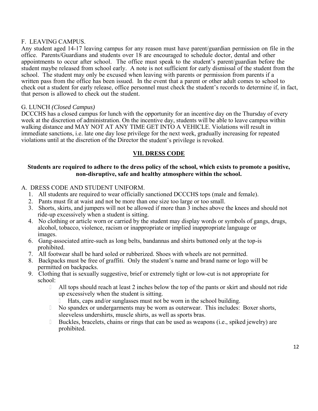#### F. LEAVING CAMPUS.

Any student aged 14-17 leaving campus for any reason must have parent/guardian permission on file in the office. Parents/Guardians and students over 18 are encouraged to schedule doctor, dental and other appointments to occur after school. The office must speak to the student's parent/guardian before the student maybe released from school early. A note is not sufficient for early dismissal of the student from the school. The student may only be excused when leaving with parents or permission from parents if a written pass from the office has been issued. In the event that a parent or other adult comes to school to check out a student for early release, office personnel must check the student's records to determine if, in fact, that person is allowed to check out the student.

#### G. LUNCH *(Closed Campus)*

DCCCHS has a closed campus for lunch with the opportunity for an incentive day on the Thursday of every week at the discretion of administration. On the incentive day, students will be able to leave campus within walking distance and MAY NOT AT ANY TIME GET INTO A VEHICLE. Violations will result in immediate sanctions, i.e. late one day lose privilege for the next week, gradually increasing for repeated violations until at the discretion of the Director the student's privilege is revoked.

### **VII. DRESS CODE**

#### **Students are required to adhere to the dress policy of the school, which exists to promote a positive, non-disruptive, safe and healthy atmosphere within the school.**

#### A. DRESS CODE AND STUDENT UNIFORM.

- 1. All students are required to wear officially sanctioned DCCCHS tops (male and female).
- 2. Pants must fit at waist and not be more than one size too large or too small.
- 3. Shorts, skirts, and jumpers will not be allowed if more than 3 inches above the knees and should not ride-up excessively when a student is sitting.
- 4. No clothing or article worn or carried by the student may display words or symbols of gangs, drugs, alcohol, tobacco, violence, racism or inappropriate or implied inappropriate language or images.
- 6. Gang-associated attire-such as long belts, bandannas and shirts buttoned only at the top-is prohibited.
- 7. All footwear shall be hard soled or rubberized. Shoes with wheels are not permitted.
- 8. Backpacks must be free of graffiti. Only the student's name and brand name or logo will be permitted on backpacks.
- 9. Clothing that is sexually suggestive, brief or extremely tight or low-cut is not appropriate for school:
	- $\Box$  All tops should reach at least 2 inches below the top of the pants or skirt and should not ride up excessively when the student is sitting.
		- Hats, caps and/or sunglasses must not be worn in the school building.
	- No spandex or undergarments may be worn as outerwear. This includes: Boxer shorts, sleeveless undershirts, muscle shirts, as well as sports bras.
	- Buckles, bracelets, chains or rings that can be used as weapons (i.e., spiked jewelry) are prohibited.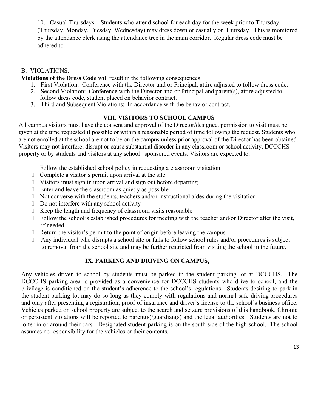10. Casual Thursdays – Students who attend school for each day for the week prior to Thursday (Thursday, Monday, Tuesday, Wednesday) may dress down or casually on Thursday. This is monitored by the attendance clerk using the attendance tree in the main corridor. Regular dress code must be adhered to.

#### B. VIOLATIONS.

**Violations of the Dress Code** will result in the following consequences:

- 1. First Violation: Conference with the Director and or Principal, attire adjusted to follow dress code.
- 2. Second Violation: Conference with the Director and or Principal and parent(s), attire adjusted to follow dress code, student placed on behavior contract.
- 3. Third and Subsequent Violations: In accordance with the behavior contract.

### **VIII. VISITORS TO SCHOOL CAMPUS**

All campus visitors must have the consent and approval of the Director/designee. permission to visit must be given at the time requested if possible or within a reasonable period of time following the request. Students who are not enrolled at the school are not to be on the campus unless prior approval of the Director has been obtained. Visitors may not interfere, disrupt or cause substantial disorder in any classroom or school activity. DCCCHS property or by students and visitors at any school –sponsored events. Visitors are expected to:

Follow the established school policy in requesting a classroom visitation

- Complete a visitor's permit upon arrival at the site
- Visitors must sign in upon arrival and sign out before departing
- Enter and leave the classroom as quietly as possible
- Not converse with the students, teachers and/or instructional aides during the visitation
- Do not interfere with any school activity
- Keep the length and frequency of classroom visits reasonable
- Follow the school's established procedures for meeting with the teacher and/or Director after the visit, if needed
- Return the visitor's permit to the point of origin before leaving the campus.
- Any individual who disrupts a school site or fails to follow school rules and/or procedures is subject to removal from the school site and may be further restricted from visiting the school in the future.

# **IX. PARKING AND DRIVING ON CAMPUS.**

Any vehicles driven to school by students must be parked in the student parking lot at DCCCHS. The DCCCHS parking area is provided as a convenience for DCCCHS students who drive to school, and the privilege is conditioned on the student's adherence to the school's regulations. Students desiring to park in the student parking lot may do so long as they comply with regulations and normal safe driving procedures and only after presenting a registration, proof of insurance and driver's license to the school's business office. Vehicles parked on school property are subject to the search and seizure provisions of this handbook. Chronic or persistent violations will be reported to parent(s)/guardian(s) and the legal authorities. Students are not to loiter in or around their cars. Designated student parking is on the south side of the high school. The school assumes no responsibility for the vehicles or their contents.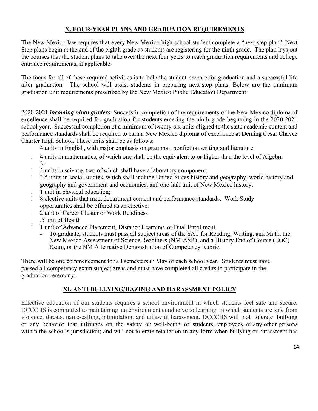# **X. FOUR-YEAR PLANS AND GRADUATION REQUIREMENTS**

The New Mexico law requires that every New Mexico high school student complete a "next step plan". Next Step plans begin at the end of the eighth grade as students are registering for the ninth grade. The plan lays out the courses that the student plans to take over the next four years to reach graduation requirements and college entrance requirements, if applicable.

The focus for all of these required activities is to help the student prepare for graduation and a successful life after graduation. The school will assist students in preparing next-step plans. Below are the minimum graduation unit requirements prescribed by the New Mexico Public Education Department:

2020-2021 *incoming ninth graders*. Successful completion of the requirements of the New Mexico diploma of excellence shall be required for graduation for students entering the ninth grade beginning in the 2020-2021 school year. Successful completion of a minimum of twenty-six units aligned to the state academic content and performance standards shall be required to earn a New Mexico diploma of excellence at Deming Cesar Chavez Charter High School. These units shall be as follows:

- 4 units in English, with major emphasis on grammar, nonfiction writing and literature;
- <sup>1</sup> 4 units in mathematics, of which one shall be the equivalent to or higher than the level of Algebra  $2:$
- 3 units in science, two of which shall have a laboratory component;
- 1 3.5 units in social studies, which shall include United States history and geography, world history and geography and government and economics, and one-half unit of New Mexico history;
- 1 unit in physical education:
- 8 elective units that meet department content and performance standards. Work Study opportunities shall be offered as an elective.
- **2** unit of Career Cluster or Work Readiness
- .5 unit of Health
- 1 unit of Advanced Placement, Distance Learning, or Dual Enrollment
	- To graduate, students must pass all subject areas of the SAT for Reading, Writing, and Math, the New Mexico Assessment of Science Readiness (NM-ASR), and a History End of Course (EOC) Exam, or the NM Alternative Demonstration of Competency Rubric.

There will be one commencement for all semesters in May of each school year. Students must have passed all competency exam subject areas and must have completed all credits to participate in the graduation ceremony.

# **XI. ANTI BULLYING/HAZING AND HARASSMENT POLICY**

Effective education of our students requires a school environment in which students feel safe and secure. DCCCHS is committed to maintaining an environment conducive to learning in which students are safe from violence, threats, name-calling, intimidation, and unlawful harassment. DCCCHS will not tolerate bullying or any behavior that infringes on the safety or well-being of students, employees, or any other persons within the school's jurisdiction; and will not tolerate retaliation in any form when bullying or harassment has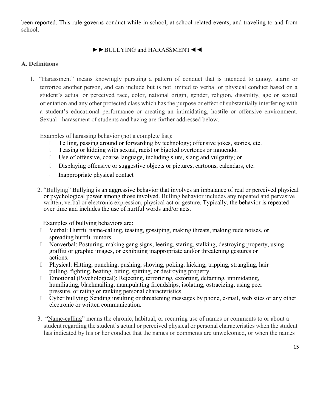been reported. This rule governs conduct while in school, at school related events, and traveling to and from school.

# ►►BULLYING and HARASSMENT◄◄

### **A. Definitions**

1. "Harassment" means knowingly pursuing a pattern of conduct that is intended to annoy, alarm or terrorize another person, and can include but is not limited to verbal or physical conduct based on a student's actual or perceived race, color, national origin, gender, religion, disability, age or sexual orientation and any other protected class which has the purpose or effect of substantially interfering with a student's educational performance or creating an intimidating, hostile or offensive environment. Sexual harassment of students and hazing are further addressed below.

Examples of harassing behavior (not a complete list):

- Telling, passing around or forwarding by technology; offensive jokes, stories, etc.
- Teasing or kidding with sexual, racist or bigoted overtones or innuendo.
- Use of offensive, coarse language, including slurs, slang and vulgarity; or
- Displaying offensive or suggestive objects or pictures, cartoons, calendars, etc.
- Inappropriate physical contact
- 2. "Bullying" Bullying is an aggressive behavior that involves an imbalance of real or perceived physical or psychological power among those involved. Bulling behavior includes any repeated and pervasive written, verbal or electronic expression, physical act or gesture. Typically, the behavior is repeated over time and includes the use of hurtful words and/or acts.

Examples of bullying behaviors are:

- Verbal: Hurtful name-calling, teasing, gossiping, making threats, making rude noises, or spreading hurtful rumors.
- Nonverbal: Posturing, making gang signs, leering, staring, stalking, destroying property, using graffiti or graphic images, or exhibiting inappropriate and/or threatening gestures or actions.
- Physical: Hitting, punching, pushing, shoving, poking, kicking, tripping, strangling, hair pulling, fighting, beating, biting, spitting, or destroying property.
- Emotional (Psychological): Rejecting, terrorizing, extorting, defaming, intimidating, humiliating, blackmailing, manipulating friendships, isolating, ostracizing, using peer pressure, or rating or ranking personal characteristics.
- Cyber bullying: Sending insulting or threatening messages by phone, e-mail, web sites or any other electronic or written communication.
- 3. "Name-calling" means the chronic, habitual, or recurring use of names or comments to or about a student regarding the student's actual or perceived physical or personal characteristics when the student has indicated by his or her conduct that the names or comments are unwelcomed, or when the names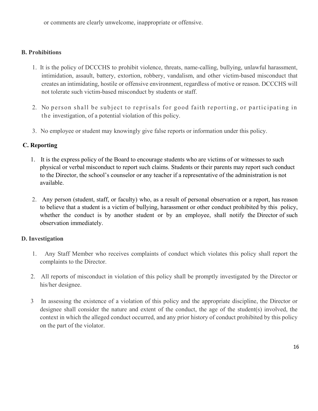or comments are clearly unwelcome, inappropriate or offensive.

### **B. Prohibitions**

- 1. It is the policy of DCCCHS to prohibit violence, threats, name-calling, bullying, unlawful harassment, intimidation, assault, battery, extortion, robbery, vandalism, and other victim-based misconduct that creates an intimidating, hostile or offensive environment, regardless of motive or reason. DCCCHS will not tolerate such victim-based misconduct by students or staff.
- 2. No person shall be subject to reprisals for good faith reporting, or participating in the investigation, of a potential violation of this policy.
- 3. No employee or student may knowingly give false reports or information under this policy.

### **C. Reporting**

- 1. It is the express policy of the Board to encourage students who are victims of or witnesses to such physical or verbal misconduct to report such claims. Students or their parents may report such conduct to the Director, the school's counselor or any teacher if a representative of the administration is not available.
- 2. Any person (student, staff, or faculty) who, as a result of personal observation or a report, has reason to believe that a student is a victim of bullying, harassment or other conduct prohibited by this policy, whether the conduct is by another student or by an employee, shall notify the Director of such observation immediately.

### **D. Investigation**

- 1. Any Staff Member who receives complaints of conduct which violates this policy shall report the complaints to the Director.
- 2. All reports of misconduct in violation of this policy shall be promptly investigated by the Director or his/her designee.
- 3 In assessing the existence of a violation of this policy and the appropriate discipline, the Director or designee shall consider the nature and extent of the conduct, the age of the student(s) involved, the context in which the alleged conduct occurred, and any prior history of conduct prohibited by this policy on the part of the violator.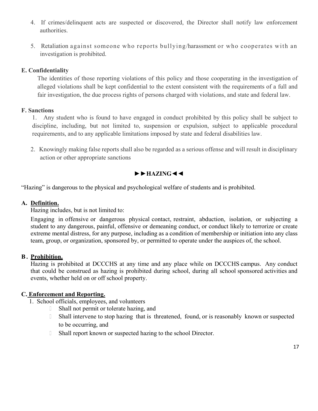- 4. If crimes/delinquent acts are suspected or discovered, the Director shall notify law enforcement authorities.
- 5. Retaliation against someone who reports bullying/harassment or who cooperates with an investigation is prohibited.

### **E. Confidentiality**

The identities of those reporting violations of this policy and those cooperating in the investigation of alleged violations shall be kept confidential to the extent consistent with the requirements of a full and fair investigation, the due process rights of persons charged with violations, and state and federal law.

### **F. Sanctions**

1. Any student who is found to have engaged in conduct prohibited by this policy shall be subject to discipline, including, but not limited to, suspension or expulsion, subject to applicable procedural requirements, and to any applicable limitations imposed by state and federal disabilities law.

2. Knowingly making false reports shall also be regarded as a serious offense and will result in disciplinary action or other appropriate sanctions

# **►►HAZING◄◄**

"Hazing" is dangerous to the physical and psychological welfare of students and is prohibited.

### **A. Definition.**

Hazing includes, but is not limited to:

Engaging in offensive or dangerous physical contact, restraint, abduction, isolation, or subjecting a student to any dangerous, painful, offensive or demeaning conduct, or conduct likely to terrorize or create extreme mental distress, for any purpose, including as a condition of membership or initiation into any class team, group, or organization, sponsored by, or permitted to operate under the auspices of, the school.

### **B . Prohibition.**

Hazing is prohibited at DCCCHS at any time and any place while on DCCCHS campus. Any conduct that could be construed as hazing is prohibited during school, during all school sponsored activities and events, whether held on or off school property.

# **C. Enforcement and Reporting.**

1. School officials, employees, and volunteers

- Shall not permit or tolerate hazing, and
- Shall intervene to stop hazing that is threatened, found, or is reasonably known or suspected to be occurring, and
- Shall report known or suspected hazing to the school Director.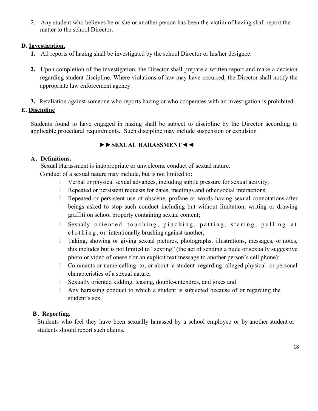2. Any student who believes he or she or another person has been the victim of hazing shall report the matter to the school Director.

### **D**. **Investigation.**

- **1.** All reports of hazing shall be investigated by the school Director or his/her designee.
- **2.** Upon completion of the investigation, the Director shall prepare a written report and make a decision regarding student discipline. Where violations of law may have occurred, the Director shall notify the appropriate law enforcement agency.
- **3.** Retaliation against someone who reports hazing or who cooperates with an investigation is prohibited.

# **E. Discipline**

Students found to have engaged in hazing shall be subject to discipline by the Director according to applicable procedural requirements. Such discipline may include suspension or expulsion

# **►►SEXUAL HARASSMENT◄◄**

### **A. Definitions.**

Sexual Harassment is inappropriate or unwelcome conduct of sexual nature.

Conduct of a sexual nature may include, but is not limited to:

- Verbal or physical sexual advances, including subtle pressure for sexual activity;
- Repeated or persistent requests for dates, meetings and other social interactions;
- Repeated or persistent use of obscene, profane or words having sexual connotations after beings asked to stop such conduct including but without limitation, writing or drawing graffiti on school property containing sexual content;
- I Sexually oriented touching, pinching, patting, staring, pulling at  $\text{cl}$  o t h i n g, o r intentionally brushing against another;
- Taking, showing or giving sexual pictures, photographs, illustrations, messages, or notes, this includes but is not limited to "sexting" (the act of sending a nude or sexually suggestive photo or video of oneself or an explicit text message to another person's cell phone);
- Comments or name calling to, or about a student regarding alleged physical or personal characteristics of a sexual nature;
- Sexually oriented kidding, teasing, double-entendres, and jokes and
- Any harassing conduct to which a student is subjected because of or regarding the student's sex.

# **B . Reporting.**

Students who feel they have been sexually harassed by a school employee or by another student or students should report such claims.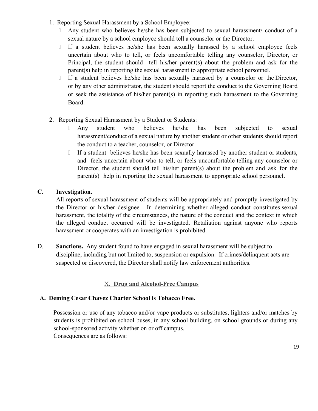- 1. Reporting Sexual Harassment by a School Employee:
	- Any student who believes he/she has been subjected to sexual harassment/ conduct of a sexual nature by a school employee should tell a counselor or the Director.
	- If a student believes he/she has been sexually harassed by a school employee feels uncertain about who to tell, or feels uncomfortable telling any counselor, Director, or Principal, the student should tell his/her parent(s) about the problem and ask for the parent(s) help in reporting the sexual harassment to appropriate school personnel.
	- If a student believes he/she has been sexually harassed by a counselor or the Director, or by any other administrator, the student should report the conduct to the Governing Board or seek the assistance of his/her parent(s) in reporting such harassment to the Governing Board.
- 2. Reporting Sexual Harassment by a Student or Students:
	- Any student who believes he/she has been subjected to sexual harassment/conduct of a sexual nature by another student or other students should report the conduct to a teacher, counselor, or Director.
	- If a student believes he/she has been sexually harassed by another student or students, and feels uncertain about who to tell, or feels uncomfortable telling any counselor or Director, the student should tell his/her parent(s) about the problem and ask for the parent(s) help in reporting the sexual harassment to appropriate school personnel.

### **C. Investigation.**

All reports of sexual harassment of students will be appropriately and promptly investigated by the Director or his/her designee. In determining whether alleged conduct constitutes sexual harassment, the totality of the circumstances, the nature of the conduct and the context in which the alleged conduct occurred will be investigated. Retaliation against anyone who reports harassment or cooperates with an investigation is prohibited.

D. **Sanctions.** Any student found to have engaged in sexual harassment will be subject to discipline, including but not limited to, suspension or expulsion. If crimes/delinquent acts are suspected or discovered, the Director shall notify law enforcement authorities.

# X. **Drug and Alcohol-Free Campus**

### **A. Deming Cesar Chavez Charter School is Tobacco Free.**

Possession or use of any tobacco and/or vape products or substitutes, lighters and/or matches by students is prohibited on school buses, in any school building, on school grounds or during any school-sponsored activity whether on or off campus. Consequences are as follows: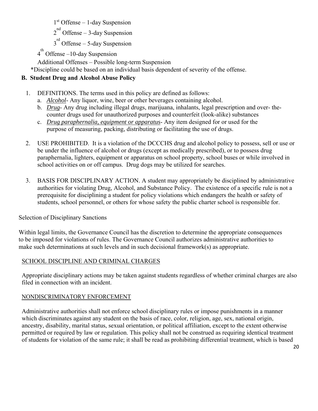1st Offense – 1-day Suspension

 $2^{nd}$  Offense – 3-day Suspension

 $3^{rd}$  Offense – 5-day Suspension

 $4^{\text{th}}$  Offense –10-day Suspension

Additional Offenses – Possible long-term Suspension

\*Discipline could be based on an individual basis dependent of severity of the offense.

# **B. Student Drug and Alcohol Abuse Policy**

- 1. DEFINITIONS. The terms used in this policy are defined as follows:
	- a. *Alcohol* Any liquor, wine, beer or other beverages containing alcohol.
	- b. *Drug* Any drug including illegal drugs, marijuana, inhalants, legal prescription and over- thecounter drugs used for unauthorized purposes and counterfeit (look-alike) substances
	- c. *Drug paraphernalia, equipment or apparatus* Any item designed for or used for the purpose of measuring, packing, distributing or facilitating the use of drugs.
- 2. USE PROHIBITED. It is a violation of the DCCCHS drug and alcohol policy to possess, sell or use or be under the influence of alcohol or drugs (except as medically prescribed), or to possess drug paraphernalia, lighters, equipment or apparatus on school property, school buses or while involved in school activities on or off campus. Drug dogs may be utilized for searches.
- 3. BASIS FOR DISCIPLINARY ACTION. A student may appropriately be disciplined by administrative authorities for violating Drug, Alcohol, and Substance Policy. The existence of a specific rule is not a prerequisite for disciplining a student for policy violations which endangers the health or safety of students, school personnel, or others for whose safety the public charter school is responsible for.

# Selection of Disciplinary Sanctions

Within legal limits, the Governance Council has the discretion to determine the appropriate consequences to be imposed for violations of rules. The Governance Council authorizes administrative authorities to make such determinations at such levels and in such decisional framework(s) as appropriate.

# SCHOOL DISCIPLINE AND CRIMINAL CHARGES

Appropriate disciplinary actions may be taken against students regardless of whether criminal charges are also filed in connection with an incident.

### NONDISCRIMINATORY ENFORCEMENT

Administrative authorities shall not enforce school disciplinary rules or impose punishments in a manner which discriminates against any student on the basis of race, color, religion, age, sex, national origin, ancestry, disability, marital status, sexual orientation, or political affiliation, except to the extent otherwise permitted or required by law or regulation. This policy shall not be construed as requiring identical treatment of students for violation of the same rule; it shall be read as prohibiting differential treatment, which is based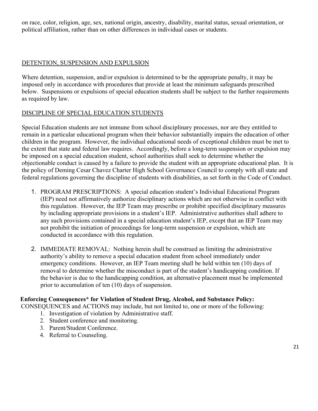on race, color, religion, age, sex, national origin, ancestry, disability, marital status, sexual orientation, or political affiliation, rather than on other differences in individual cases or students.

### DETENTION, SUSPENSION AND EXPULSION

Where detention, suspension, and/or expulsion is determined to be the appropriate penalty, it may be imposed only in accordance with procedures that provide at least the minimum safeguards prescribed below. Suspensions or expulsions of special education students shall be subject to the further requirements as required by law.

### DISCIPLINE OF SPECIAL EDUCATION STUDENTS

Special Education students are not immune from school disciplinary processes, nor are they entitled to remain in a particular educational program when their behavior substantially impairs the education of other children in the program. However, the individual educational needs of exceptional children must be met to the extent that state and federal law requires. Accordingly, before a long-term suspension or expulsion may be imposed on a special education student, school authorities shall seek to determine whether the objectionable conduct is caused by a failure to provide the student with an appropriate educational plan. It is the policy of Deming Cesar Chavez Charter High School Governance Council to comply with all state and federal regulations governing the discipline of students with disabilities, as set forth in the Code of Conduct.

- 1. PROGRAM PRESCRIPTIONS: A special education student's Individual Educational Program (IEP) need not affirmatively authorize disciplinary actions which are not otherwise in conflict with this regulation. However, the IEP Team may prescribe or prohibit specified disciplinary measures by including appropriate provisions in a student's IEP. Administrative authorities shall adhere to any such provisions contained in a special education student's IEP, except that an IEP Team may not prohibit the initiation of proceedings for long-term suspension or expulsion, which are conducted in accordance with this regulation.
- 2. IMMEDIATE REMOVAL: Nothing herein shall be construed as limiting the administrative authority's ability to remove a special education student from school immediately under emergency conditions. However, an IEP Team meeting shall be held within ten (10) days of removal to determine whether the misconduct is part of the student's handicapping condition. If the behavior is due to the handicapping condition, an alternative placement must be implemented prior to accumulation of ten (10) days of suspension.

# **Enforcing Consequences\* for Violation of Student Drug, Alcohol, and Substance Policy:**

CONSEQUENCES and ACTIONS may include, but not limited to, one or more of the following:

- 1. Investigation of violation by Administrative staff.
- 2. Student conference and monitoring.
- 3. Parent/Student Conference.
- 4. Referral to Counseling.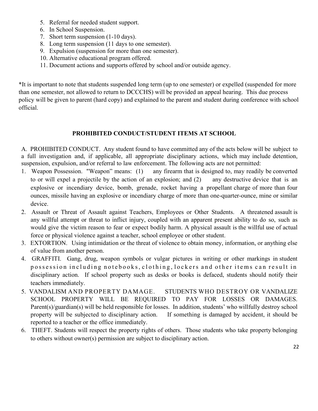- 5. Referral for needed student support.
- 6. In School Suspension.
- 7. Short term suspension (1-10 days).
- 8. Long term suspension (11 days to one semester).
- 9. Expulsion (suspension for more than one semester).
- 10. Alternative educational program offered.
- 11. Document actions and supports offered by school and/or outside agency.

\*It is important to note that students suspended long term (up to one semester) or expelled (suspended for more than one semester, not allowed to return to DCCCHS) will be provided an appeal hearing. This due process policy will be given to parent (hard copy) and explained to the parent and student during conference with school official.

### **PROHIBITED CONDUCT/STUDENT ITEMS AT SCHOOL**

A. PROHIBITED CONDUCT. Any student found to have committed any of the acts below will be subject to a full investigation and, if applicable, all appropriate disciplinary actions, which may include detention, suspension, expulsion, and/or referral to law enforcement. The following acts are not permitted:

- 1. Weapon Possession. "Weapon" means: (1) any firearm that is designed to, may readily be converted to or will expel a projectile by the action of an explosion; and (2) any destructive device that is an explosive or incendiary device, bomb, grenade, rocket having a propellant charge of more than four ounces, missile having an explosive or incendiary charge of more than one-quarter-ounce, mine or similar device.
- 2. Assault or Threat of Assault against Teachers, Employees or Other Students. A threatened assault is any willful attempt or threat to inflict injury, coupled with an apparent present ability to do so, such as would give the victim reason to fear or expect bodily harm. A physical assault is the willful use of actual force or physical violence against a teacher, school employee or other student.
- 3. EXTORTION. Using intimidation or the threat of violence to obtain money, information, or anything else of value from another person.
- 4. GRAFFITI. Gang, drug, weapon symbols or vulgar pictures in writing or other markings in student possession including notebooks, clothing, lockers and other items can result in disciplinary action. If school property such as desks or books is defaced, students should notify their teachers immediately.
- 5. VANDALISM AND PROPERTY DAMAGE. STUDENTS WHO DESTROY OR VANDALIZE SCHOOL PROPERTY WILL BE REQUIRED TO PAY FOR LOSSES OR DAMAGES. Parent(s)/guardian(s) will be held responsible for losses. In addition, students' who willfully destroy school property will be subjected to disciplinary action. If something is damaged by accident, it should be reported to a teacher or the office immediately.
- 6. THEFT. Students will respect the property rights of others. Those students who take property belonging to others without owner(s) permission are subject to disciplinary action.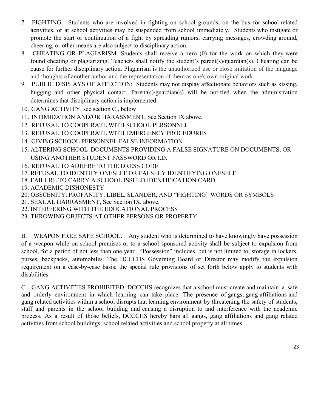- 7. FIGHTING. Students who are involved in fighting on school grounds, on the bus for school related activities, or at school activities may be suspended from school immediately. Students who instigate or promote the start or continuation of a fight by spreading rumors, carrying messages, crowding around, cheering, or other means are also subject to disciplinary action.
- 8. CHEATING OR PLAGIARISM. Students shall receive a zero (0) for the work on which they were found cheating or plagiarizing. Teachers shall notify the student's parent(s)/guardian(s). Cheating can be cause for further disciplinary action. Plagiarism is the unauthorized use or close imitation of the language and thoughts of another author and the representation of them as one's own original work.
- 9. PUBLIC DISPLAYS OF AFFECTION: Students may not display affectionate behaviors such as kissing, hugging and other physical contact. Parent(s)/guardian(s) will be notified when the administration determines that disciplinary action is implemented.
- 10. GANG ACTIVITY, see section C., below
- 11. INTIMIDATION AND/OR HARASSMENT, See Section IX above.
- 12. REFUSAL TO COOPERATE WITH SCHOOL PERSONNEL
- 13. REFUSAL TO COOPERATE WITH EMERGENCY PROCEDURES
- 14. GIVING SCHOOL PERSONNEL FALSE INFORMATION
- 15. ALTERING SCHOOL DOCUMENTS PROVIDING A FALSE SIGNATURE ON DOCUMENTS, OR USING ANOTHER STUDENT PASSWORD OR I.D.
- 16. REFUSAL TO ADHERE TO THE DRESS CODE
- 17. REFUSAL TO IDENTIFY ONESELF OR FALSELY IDENTIFYING ONESELF
- 18. FAILURE TO CARRY A SCHOOL ISSUED IDENTIFICATION CARD
- 19. ACADEMIC DISHONESTY
- 20. OBSCENITY, PROFANITY, LIBEL, SLANDER, AND "FIGHTING" WORDS OR SYMBOLS
- 21. SEXUAL HARRASMENT, See Section IX, above.
- 22. INTERFERING WITH THE EDUCATIONAL PROCESS
- 23. THROWING OBJECTS AT OTHER PERSONS OR PROPERTY

B. WEAPON FREE SAFE SCHOOL**.** Any student who is determined to have knowingly have possession of a weapon while on school premises or to a school sponsored activity shall be subject to expulsion from school, for a period of not less than one year. "Possession" includes, but is not limited to, storage in lockers, purses, backpacks, automobiles. The DCCCHS Governing Board or Director may modify the expulsion requirement on a case-by-case basis; the special rule provisions of set forth below apply to students with disabilities.

C. GANG ACTIVITIES PROHIBITED. DCCCHS recognizes that a school must create and maintain a safe and orderly environment in which learning can take place. The presence of gangs, gang affiliations and gang related activities within a school disrupts that learning environment by threatening the safety of students, staff and parents in the school building and causing a disruption to and interference with the academic process. As a result of those beliefs, DCCCHS hereby bars all gangs, gang affiliations and gang related activities from school buildings, school related activities and school property at all times.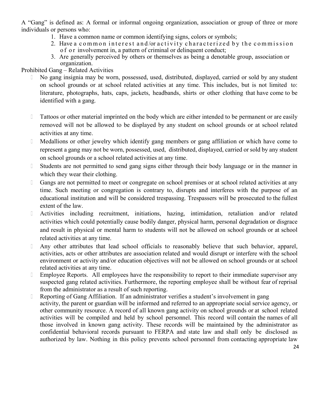A "Gang" is defined as: A formal or informal ongoing organization, association or group of three or more individuals or persons who:

- 1. Have a common name or common identifying signs, colors or symbols;
- 2. Have a common interest and/or activity characterized by the commission o f o r involvement in, a pattern of criminal or delinquent conduct;
- 3. Are generally perceived by others or themselves as being a denotable group, association or organization.

### Prohibited Gang – Related Activities

- No gang insignia may be worn, possessed, used, distributed, displayed, carried or sold by any student on school grounds or at school related activities at any time. This includes, but is not limited to: literature, photographs, hats, caps, jackets, headbands, shirts or other clothing that have come to be identified with a gang.
- Tattoos or other material imprinted on the body which are either intended to be permanent or are easily removed will not be allowed to be displayed by any student on school grounds or at school related activities at any time.
- Medallions or other jewelry which identify gang members or gang affiliation or which have come to represent a gang may not be worn, possessed, used, distributed, displayed, carried or sold by any student on school grounds or a school related activities at any time.
- Students are not permitted to send gang signs either through their body language or in the manner in which they wear their clothing.
- Gangs are not permitted to meet or congregate on school premises or at school related activities at any time. Such meeting or congregation is contrary to, disrupts and interferes with the purpose of an educational institution and will be considered trespassing. Trespassers will be prosecuted to the fullest extent of the law.
- Activities including recruitment, initiations, hazing, intimidation, retaliation and/or related activities which could potentially cause bodily danger, physical harm, personal degradation or disgrace and result in physical or mental harm to students will not be allowed on school grounds or at school related activities at any time.
- Any other attributes that lead school officials to reasonably believe that such behavior, apparel, activities, acts or other attributes are association related and would disrupt or interfere with the school environment or activity and/or education objectives will not be allowed on school grounds or at school related activities at any time.
- **Employee Reports.** All employees have the responsibility to report to their immediate supervisor any suspected gang related activities. Furthermore, the reporting employee shall be without fear of reprisal from the administrator as a result of such reporting.
- Reporting of Gang Affiliation. If an administrator verifies a student's involvement in gang activity, the parent or guardian will be informed and referred to an appropriate social service agency, or other community resource. A record of all known gang activity on school grounds or at school related activities will be compiled and held by school personnel. This record will contain the names of all those involved in known gang activity. These records will be maintained by the administrator as confidential behavioral records pursuant to FERPA and state law and shall only be disclosed as authorized by law. Nothing in this policy prevents school personnel from contacting appropriate law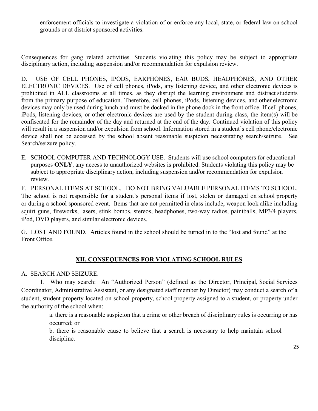enforcement officials to investigate a violation of or enforce any local, state, or federal law on school grounds or at district sponsored activities.

Consequences for gang related activities. Students violating this policy may be subject to appropriate disciplinary action, including suspension and/or recommendation for expulsion review.

D. USE OF CELL PHONES, IPODS, EARPHONES, EAR BUDS, HEADPHONES, AND OTHER ELECTRONIC DEVICES. Use of cell phones, iPods, any listening device, and other electronic devices is prohibited in ALL classrooms at all times, as they disrupt the learning environment and distract students from the primary purpose of education. Therefore, cell phones, iPods, listening devices, and other electronic devices may only be used during lunch and must be docked in the phone dock in the front office. If cell phones, iPods, listening devices, or other electronic devices are used by the student during class, the item(s) will be confiscated for the remainder of the day and returned at the end of the day. Continued violation of this policy will result in a suspension and/or expulsion from school. Information stored in a student's cell phone/electronic device shall not be accessed by the school absent reasonable suspicion necessitating search/seizure. See Search/seizure policy.

E. SCHOOL COMPUTER AND TECHNOLOGY USE. Students will use school computers for educational purposes **ONLY**, any access to unauthorized websites is prohibited. Students violating this policy may be subject to appropriate disciplinary action, including suspension and/or recommendation for expulsion review.

F. PERSONAL ITEMS AT SCHOOL. DO NOT BRING VALUABLE PERSONAL ITEMS TO SCHOOL. The school is not responsible for a student's personal items if lost, stolen or damaged on school property or during a school sponsored event. Items that are not permitted in class include, weapon look alike including squirt guns, fireworks, lasers, stink bombs, stereos, headphones, two-way radios, paintballs, MP3/4 players, iPod, DVD players, and similar electronic devices.

G. LOST AND FOUND. Articles found in the school should be turned in to the "lost and found" at the Front Office.

# **XII. CONSEQUENCES FOR VIOLATING SCHOOL RULES**

A. SEARCH AND SEIZURE.

1. Who may search: An "Authorized Person" (defined as the Director, Principal, Social Services Coordinator, Administrative Assistant, or any designated staff member by Director) may conduct a search of a student, student property located on school property, school property assigned to a student, or property under the authority of the school when:

a. there is a reasonable suspicion that a crime or other breach of disciplinary rules is occurring or has occurred; or

b. there is reasonable cause to believe that a search is necessary to help maintain school discipline.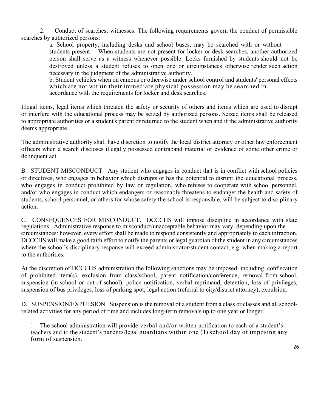2. Conduct of searches; witnesses. The following requirements govern the conduct of permissible searches by authorized persons:

a. School property, including desks and school buses, may be searched with or without students present. When students are not present for locker or desk searches, another authorized person shall serve as a witness whenever possible. Locks furnished by students should not be destroyed unless a student refuses to open one or circumstances otherwise render such action necessary in the judgment of the administrative authority.

b. Student vehicles when on campus or otherwise under school control and students' personal effects which are not within their immediate physical possession may be searched in accordance with the requirements for locker and desk searches.

Illegal items, legal items which threaten the safety or security of others and items which are used to disrupt or interfere with the educational process may be seized by authorized persons. Seized items shall be released to appropriate authorities or a student's parent or returned to the student when and if the administrative authority deems appropriate.

The administrative authority shall have discretion to notify the local district attorney or other law enforcement officers when a search discloses illegally possessed contraband material or evidence of some other crime or delinquent act.

B. STUDENT MISCONDUCT. Any student who engages in conduct that is in conflict with school policies or directives, who engages in behavior which disrupts or has the potential to disrupt the educational process, who engages in conduct prohibited by law or regulation, who refuses to cooperate with school personnel, and/or who engages in conduct which endangers or reasonably threatens to endanger the health and safety of students, school personnel, or others for whose safety the school is responsible, will be subject to disciplinary action.

C. CONSEQUENCES FOR MISCONDUCT. DCCCHS will impose discipline in accordance with state regulations. Administrative response to misconduct/unacceptable behavior may vary, depending upon the circumstances: however, every effort shall be made to respond consistently and appropriately to each infraction. DCCCHS will make a good faith effort to notify the parents or legal guardian of the student in any circumstances where the school's disciplinary response will exceed administrator/student contact, e.g. when making a report to the authorities.

At the discretion of DCCCHS administration the following sanctions may be imposed: including, confiscation of prohibited item(s), exclusion from class/school, parent notification/conference, removal from school, suspension (in-school or out-of-school), police notification, verbal reprimand, detention, loss of privileges, suspension of bus privileges, loss of parking spot, legal action (referral to city/district attorney), expulsion.

D. SUSPENSION/EXPULSION. Suspension is the removal of a student from a class or classes and all schoolrelated activities for any period of time and includes long-term removals up to one year or longer.

 The school administration will provide verbal and/or written notification to each of a student's teachers and to the student's parents/legal guardians within one (1) school day of imposing any form of suspension.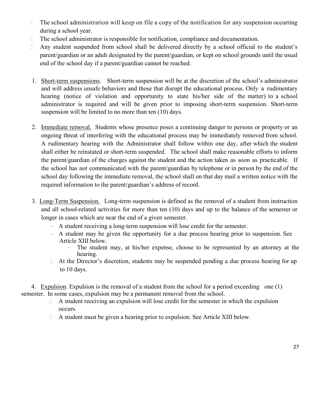- The school administration will keep on file a copy of the notification for any suspension occurring during a school year.
- The school administrator is responsible for notification, compliance and documentation.
- Any student suspended from school shall be delivered directly by a school official to the student's parent/guardian or an adult designated by the parent/guardian, or kept on school grounds until the usual end of the school day if a parent/guardian cannot be reached.
- 1. Short-term suspensions. Short-term suspension will be at the discretion of the school's administrator and will address unsafe behaviors and those that disrupt the educational process. Only a rudimentary hearing (notice of violation and opportunity to state his/her side of the matter) to a school administrator is required and will be given prior to imposing short-term suspension. Short-term suspension will be limited to no more than ten (10) days.
- 2. Immediate removal. Students whose presence poses a continuing danger to persons or property or an ongoing threat of interfering with the educational process may be immediately removed from school. A rudimentary hearing with the Administrator shall follow within one day, after which the student shall either be reinstated or short-term suspended. The school shall make reasonable efforts to inform the parent/guardian of the charges against the student and the action taken as soon as practicable. If the school has not communicated with the parent/guardian by telephone or in person by the end of the school day following the immediate removal, the school shall on that day mail a written notice with the required information to the parent/guardian's address of record.
- 3. Long-Term Suspension. Long-term suspension is defined as the removal of a student from instruction and all school-related activities for more than ten (10) days and up to the balance of the semester or longer in cases which are near the end of a given semester.
	- A student receiving a long-term suspension will lose credit for the semester.
	- A student may be given the opportunity for a due process hearing prior to suspension. See Article XIII below.
		- The student may, at his/her expense, choose to be represented by an attorney at the hearing.
	- At the Director's discretion, students may be suspended pending a due process hearing for up to 10 days.

4. Expulsion. Expulsion is the removal of a student from the school for a period exceeding one (1) semester. In some cases, expulsion may be a permanent removal from the school.

- A student receiving an expulsion will lose credit for the semester in which the expulsion occurs.
- A student must be given a hearing prior to expulsion. See Article XIII below.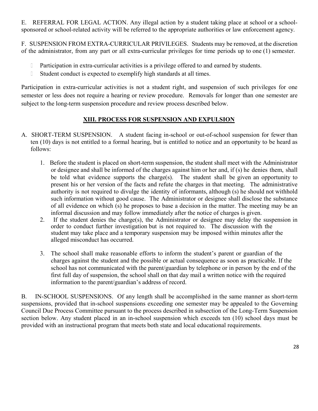E. REFERRAL FOR LEGAL ACTION. Any illegal action by a student taking place at school or a schoolsponsored or school-related activity will be referred to the appropriate authorities or law enforcement agency.

F. SUSPENSION FROM EXTRA-CURRICULAR PRIVILEGES. Students may be removed, at the discretion of the administrator, from any part or all extra-curricular privileges for time periods up to one (1) semester.

- D Participation in extra-curricular activities is a privilege offered to and earned by students.
- Student conduct is expected to exemplify high standards at all times.

Participation in extra-curricular activities is not a student right, and suspension of such privileges for one semester or less does not require a hearing or review procedure. Removals for longer than one semester are subject to the long-term suspension procedure and review process described below.

# **XIII. PROCESS FOR SUSPENSION AND EXPULSION**

- A. SHORT-TERM SUSPENSION. A student facing in-school or out-of-school suspension for fewer than ten (10) days is not entitled to a formal hearing, but is entitled to notice and an opportunity to be heard as follows:
	- 1. Before the student is placed on short-term suspension, the student shall meet with the Administrator or designee and shall be informed of the charges against him or her and, if (s) he denies them, shall be told what evidence supports the charge(s). The student shall be given an opportunity to present his or her version of the facts and refute the charges in that meeting. The administrative authority is not required to divulge the identity of informants, although (s) he should not withhold such information without good cause. The Administrator or designee shall disclose the substance of all evidence on which (s) he proposes to base a decision in the matter. The meeting may be an informal discussion and may follow immediately after the notice of charges is given.
	- 2. If the student denies the charge(s), the Administrator or designee may delay the suspension in order to conduct further investigation but is not required to. The discussion with the student may take place and a temporary suspension may be imposed within minutes after the alleged misconduct has occurred.
	- 3. The school shall make reasonable efforts to inform the student's parent or guardian of the charges against the student and the possible or actual consequence as soon as practicable. If the school has not communicated with the parent/guardian by telephone or in person by the end of the first full day of suspension, the school shall on that day mail a written notice with the required information to the parent/guardian's address of record.

B. IN-SCHOOL SUSPENSIONS. Of any length shall be accomplished in the same manner as short-term suspensions, provided that in-school suspensions exceeding one semester may be appealed to the Governing Council Due Process Committee pursuant to the process described in subsection of the Long-Term Suspension section below. Any student placed in an in-school suspension which exceeds ten (10) school days must be provided with an instructional program that meets both state and local educational requirements.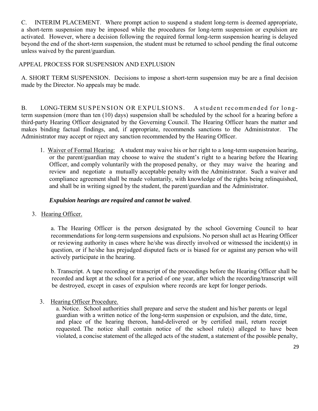C. INTERIM PLACEMENT. Where prompt action to suspend a student long-term is deemed appropriate, a short-term suspension may be imposed while the procedures for long-term suspension or expulsion are activated. However, where a decision following the required formal long-term suspension hearing is delayed beyond the end of the short-term suspension, the student must be returned to school pending the final outcome unless waived by the parent/guardian.

### APPEAL PROCESS FOR SUSPENSION AND EXPLUSION

A. SHORT TERM SUSPENSION. Decisions to impose a short-term suspension may be are a final decision made by the Director. No appeals may be made.

B. LONG-TERM SUSPENSION OR EXPULSIONS. A student recommended for longterm suspension (more than ten (10) days) suspension shall be scheduled by the school for a hearing before a third-party Hearing Officer designated by the Governing Council. The Hearing Officer hears the matter and makes binding factual findings, and, if appropriate, recommends sanctions to the Administrator. The Administrator may accept or reject any sanction recommended by the Hearing Officer.

1. Waiver of Formal Hearing: A student may waive his or her right to a long-term suspension hearing, or the parent/guardian may choose to waive the student's right to a hearing before the Hearing Officer, and comply voluntarily with the proposed penalty, or they may waive the hearing and review and negotiate a mutually acceptable penalty with the Administrator. Such a waiver and compliance agreement shall be made voluntarily, with knowledge of the rights being relinquished, and shall be in writing signed by the student, the parent/guardian and the Administrator.

### *Expulsion hearings are required and cannot be waived*.

3. Hearing Officer.

a. The Hearing Officer is the person designated by the school Governing Council to hear recommendations for long-term suspensions and expulsions. No person shall act as Hearing Officer or reviewing authority in cases where he/she was directly involved or witnessed the incident(s) in question, or if he/she has prejudged disputed facts or is biased for or against any person who will actively participate in the hearing.

b. Transcript. A tape recording or transcript of the proceedings before the Hearing Officer shall be recorded and kept at the school for a period of one year, after which the recording/transcript will be destroyed, except in cases of expulsion where records are kept for longer periods.

3. Hearing Officer Procedure.

a. Notice. School authorities shall prepare and serve the student and his/her parents or legal guardian with a written notice of the long-term suspension or expulsion, and the date, time, and place of the hearing thereon, hand-delivered or by certified mail, return receipt requested. The notice shall contain notice of the school rule(s) alleged to have been violated, a concise statement of the alleged acts of the student, a statement of the possible penalty,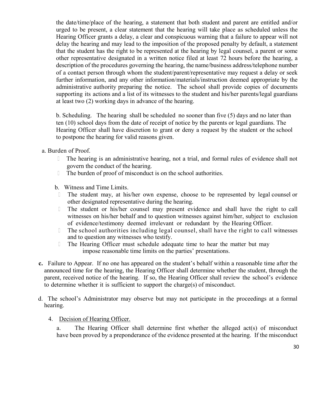the date/time/place of the hearing, a statement that both student and parent are entitled and/or urged to be present, a clear statement that the hearing will take place as scheduled unless the Hearing Officer grants a delay, a clear and conspicuous warning that a failure to appear will not delay the hearing and may lead to the imposition of the proposed penalty by default, a statement that the student has the right to be represented at the hearing by legal counsel, a parent or some other representative designated in a written notice filed at least 72 hours before the hearing, a description of the procedures governing the hearing, the name/business address/telephone number of a contact person through whom the student/parent/representative may request a delay or seek further information, and any other information/materials/instruction deemed appropriate by the administrative authority preparing the notice. The school shall provide copies of documents supporting its actions and a list of its witnesses to the student and his/her parents/legal guardians at least two (2) working days in advance of the hearing.

b. Scheduling. The hearing shall be scheduled no sooner than five (5) days and no later than ten (10) school days from the date of receipt of notice by the parents or legal guardians. The Hearing Officer shall have discretion to grant or deny a request by the student or the school to postpone the hearing for valid reasons given.

a. Burden of Proof.

- The hearing is an administrative hearing, not a trial, and formal rules of evidence shall not govern the conduct of the hearing.
- The burden of proof of misconduct is on the school authorities.
- b. Witness and Time Limits.
- The student may, at his/her own expense, choose to be represented by legal counsel or other designated representative during the hearing.
- The student or his/her counsel may present evidence and shall have the right to call witnesses on his/her behalf and to question witnesses against him/her, subject to exclusion of evidence/testimony deemed irrelevant or redundant by the Hearing Officer.
- $\Box$  The school authorities including legal counsel, shall have the right to call witnesses and to question any witnesses who testify.
- The Hearing Officer must schedule adequate time to hear the matter but may impose reasonable time limits on the parties' presentations.
- **c.** Failure to Appear. If no one has appeared on the student's behalf within a reasonable time after the announced time for the hearing, the Hearing Officer shall determine whether the student, through the parent, received notice of the hearing. If so, the Hearing Officer shall review the school's evidence to determine whether it is sufficient to support the charge(s) of misconduct.
- d. The school's Administrator may observe but may not participate in the proceedings at a formal hearing.

#### 4. Decision of Hearing Officer.

a. The Hearing Officer shall determine first whether the alleged act(s) of misconduct have been proved by a preponderance of the evidence presented at the hearing. If the misconduct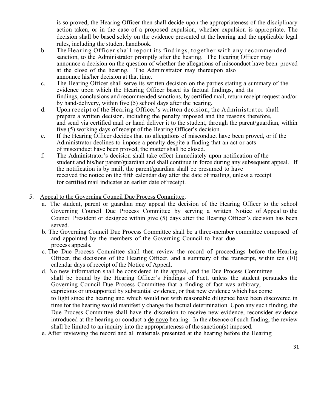is so proved, the Hearing Officer then shall decide upon the appropriateness of the disciplinary action taken, or in the case of a proposed expulsion, whether expulsion is appropriate. The decision shall be based solely on the evidence presented at the hearing and the applicable legal rules, including the student handbook.

- b. The Hearing Officer shall report its findings, together with any recommended sanction, to the Administrator promptly after the hearing. The Hearing Officer may announce a decision on the question of whether the allegations of misconduct have been proved at the close of the hearing. The Administrator may thereupon also announce his/her decision at that time.
- c. The Hearing Officer shall serve its written decision on the parties stating a summary of the evidence upon which the Hearing Officer based its factual findings, and its findings, conclusions and recommended sanctions, by certified mail, return receipt request and/or by hand-delivery, within five (5) school days after the hearing.
- d. Upon receipt of the Hearing Officer's written decision, the Administrator shall prepare a written decision, including the penalty imposed and the reasons therefore, and send via certified mail or hand deliver it to the student, through the parent/guardian, within five (5) working days of receipt of the Hearing Officer's decision.
- e. If the Hearing Officer decides that no allegations of misconduct have been proved, or if the Administrator declines to impose a penalty despite a finding that an act or acts of misconduct have been proved, the matter shall be closed.
- f. The Administrator's decision shall take effect immediately upon notification of the student and his/her parent/guardian and shall continue in force during any subsequent appeal. If the notification is by mail, the parent/guardian shall be presumed to have received the notice on the fifth calendar day after the date of mailing, unless a receipt for certified mail indicates an earlier date of receipt.
- 5. Appeal to the Governing Council Due Process Committee.
	- a. The student, parent or guardian may appeal the decision of the Hearing Officer to the school Governing Council Due Process Committee by serving a written Notice of Appeal to the Council President or designee within give (5) days after the Hearing Officer's decision has been served.
	- b. The Governing Council Due Process Committee shall be a three-member committee composed of and appointed by the members of the Governing Council to hear due process appeals.
	- c. The Due Process Committee shall then review the record of proceedings before the Hearing Officer, the decisions of the Hearing Officer, and a summary of the transcript, within ten  $(10)$ calendar days of receipt of the Notice of Appeal.
	- d. No new information shall be considered in the appeal, and the Due Process Committee shall be bound by the Hearing Officer's Findings of Fact, unless the student persuades the Governing Council Due Process Committee that a finding of fact was arbitrary, capricious or unsupported by substantial evidence, or that new evidence which has come to light since the hearing and which would not with reasonable diligence have been discovered in time for the hearing would manifestly change the factual determination. Upon any such finding, the Due Process Committee shall have the discretion to receive new evidence, reconsider evidence introduced at the hearing or conduct a de novo hearing. In the absence of such finding, the review shall be limited to an inquiry into the appropriateness of the sanction(s) imposed.
	- e. After reviewing the record and all materials presented at the hearing before the Hearing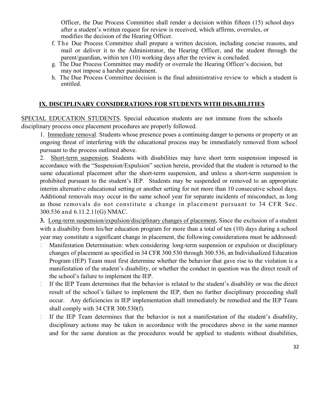Officer, the Due Process Committee shall render a decision within fifteen (15) school days after a student's written request for review is received, which affirms, overrules, or modifies the decision of the Hearing Officer.

- f. The Due Process Committee shall prepare a written decision, including concise reasons, and mail or deliver it to the Administrator, the Hearing Officer, and the student through the parent/guardian, within ten (10) working days after the review is concluded.
- g. The Due Process Committee may modify or overrule the Hearing Officer's decision, but may not impose a harsher punishment.
- h. The Due Process Committee decision is the final administrative review to which a student is entitled.

# **IX. DISCIPLINARY CONSIDERATIONS FOR STUDENTS WITH DISABILITIES**

SPECIAL EDUCATION STUDENTS. Special education students are not immune from the schools disciplinary process once placement procedures are properly followed.

1. Immediate removal. Students whose presence poses a continuing danger to persons or property or an ongoing threat of interfering with the educational process may be immediately removed from school pursuant to the process outlined above.

2. Short-term suspension. Students with disabilities may have short term suspension imposed in accordance with the "Suspension/Expulsion" section herein, provided that the student is returned to the same educational placement after the short-term suspension, and unless a short-term suspension is prohibited pursuant to the student's IEP. Students may be suspended or removed to an appropriate interim alternative educational setting or another setting for not more than 10 consecutive school days. Additional removals may occur in the same school year for separate incidents of misconduct, as long as those removals do not constitute a change in placement pursuant to 34 CFR Sec. 300.536 and 6.11.2.11(G) NMAC.

**3.** Long-term suspension/expulsion/disciplinary changes of placement**.** Since the exclusion of a student with a disability from his/her education program for more than a total of ten (10) days during a school year may constitute a significant change in placement, the following considerations must be addressed:

- Manifestation Determination: when considering long-term suspension or expulsion or disciplinary changes of placement as specified in 34 CFR 300.530 through 300.536, an Individualized Education Program (IEP) Team must first determine whether the behavior that gave rise to the violation is a manifestation of the student's disability, or whether the conduct in question was the direct result of the school's failure to implement the IEP.
- If the IEP Team determines that the behavior is related to the student's disability or was the direct result of the school's failure to implement the IEP, then no further disciplinary proceeding shall occur. Any deficiencies in IEP implementation shall immediately be remedied and the IEP Team shall comply with 34 CFR 300.530(f).
- If the IEP Team determines that the behavior is not a manifestation of the student's disability, disciplinary actions may be taken in accordance with the procedures above in the same manner and for the same duration as the procedures would be applied to students without disabilities,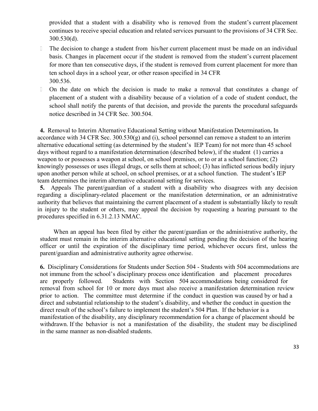provided that a student with a disability who is removed from the student's current placement continues to receive special education and related services pursuant to the provisions of 34 CFR Sec. 300.530(d).

- The decision to change a student from his/her current placement must be made on an individual basis. Changes in placement occur if the student is removed from the student's current placement for more than ten consecutive days, if the student is removed from current placement for more than ten school days in a school year, or other reason specified in 34 CFR 300.536.
- On the date on which the decision is made to make a removal that constitutes a change of placement of a student with a disability because of a violation of a code of student conduct, the school shall notify the parents of that decision, and provide the parents the procedural safeguards notice described in 34 CFR Sec. 300.504.

**4.** Removal to Interim Alternative Educational Setting without Manifestation Determination**.** In accordance with 34 CFR Sec. 300.530 $(g)$  and (i), school personnel can remove a student to an interim alternative educational setting (as determined by the student's IEP Team) for not more than 45 school days without regard to a manifestation determination (described below), if the student (1) carries a weapon to or possesses a weapon at school, on school premises, or to or at a school function; (2) knowingly possesses or uses illegal drugs, or sells them at school; (3) has inflicted serious bodily injury upon another person while at school, on school premises, or at a school function. The student's IEP team determines the interim alternative educational setting for services.

**5.** Appeals The parent/guardian of a student with a disability who disagrees with any decision regarding a disciplinary-related placement or the manifestation determination, or an administrative authority that believes that maintaining the current placement of a student is substantially likely to result in injury to the student or others, may appeal the decision by requesting a hearing pursuant to the procedures specified in 6.31.2.13 NMAC.

When an appeal has been filed by either the parent/guardian or the administrative authority, the student must remain in the interim alternative educational setting pending the decision of the hearing officer or until the expiration of the disciplinary time period, whichever occurs first, unless the parent/guardian and administrative authority agree otherwise.

**6.** Disciplinary Considerations for Students under Section 504 - Students with 504 accommodations are not immune from the school's disciplinary process once identification and placement procedures are properly followed. Students with Section 504 accommodations being considered for removal from school for 10 or more days must also receive a manifestation determination review prior to action. The committee must determine if the conduct in question was caused by or had a direct and substantial relationship to the student's disability, and whether the conduct in question the direct result of the school's failure to implement the student's 504 Plan. If the behavior is a manifestation of the disability, any disciplinary recommendation for a change of placement should be withdrawn. If the behavior is not a manifestation of the disability, the student may be disciplined in the same manner as non-disabled students.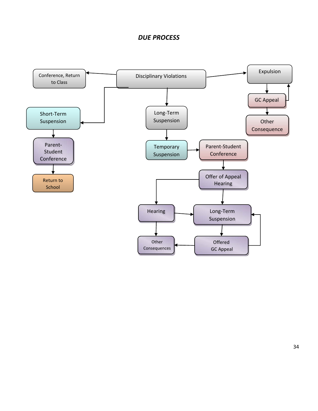# *DUE PROCESS*

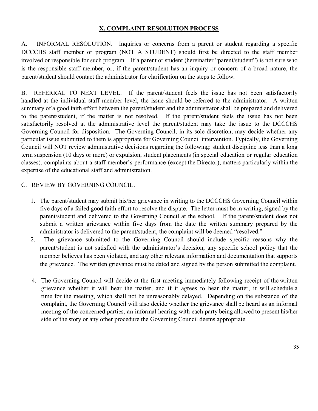### **X. COMPLAINT RESOLUTION PROCESS**

A. INFORMAL RESOLUTION. Inquiries or concerns from a parent or student regarding a specific DCCCHS staff member or program (NOT A STUDENT) should first be directed to the staff member involved or responsible for such program. If a parent or student (hereinafter "parent/student") is not sure who is the responsible staff member, or, if the parent/student has an inquiry or concern of a broad nature, the parent/student should contact the administrator for clarification on the steps to follow.

B. REFERRAL TO NEXT LEVEL. If the parent/student feels the issue has not been satisfactorily handled at the individual staff member level, the issue should be referred to the administrator. A written summary of a good faith effort between the parent/student and the administrator shall be prepared and delivered to the parent/student, if the matter is not resolved. If the parent/student feels the issue has not been satisfactorily resolved at the administrative level the parent/student may take the issue to the DCCCHS Governing Council for disposition. The Governing Council, in its sole discretion, may decide whether any particular issue submitted to them is appropriate for Governing Council intervention. Typically, the Governing Council will NOT review administrative decisions regarding the following: student discipline less than a long term suspension (10 days or more) or expulsion, student placements (in special education or regular education classes), complaints about a staff member's performance (except the Director), matters particularly within the expertise of the educational staff and administration.

### C. REVIEW BY GOVERNING COUNCIL.

- 1. The parent/student may submit his/her grievance in writing to the DCCCHS Governing Council within five days of a failed good faith effort to resolve the dispute. The letter must be in writing, signed by the parent/student and delivered to the Governing Council at the school. If the parent/student does not submit a written grievance within five days from the date the written summary prepared by the administrator is delivered to the parent/student, the complaint will be deemed "resolved."
- 2. The grievance submitted to the Governing Council should include specific reasons why the parent/student is not satisfied with the administrator's decision; any specific school policy that the member believes has been violated, and any other relevant information and documentation that supports the grievance. The written grievance must be dated and signed by the person submitted the complaint.
- 4. The Governing Council will decide at the first meeting immediately following receipt of the written grievance whether it will hear the matter, and if it agrees to hear the matter, it will schedule a time for the meeting, which shall not be unreasonably delayed. Depending on the substance of the complaint, the Governing Council will also decide whether the grievance shall be heard as an informal meeting of the concerned parties, an informal hearing with each party being allowed to present his/her side of the story or any other procedure the Governing Council deems appropriate.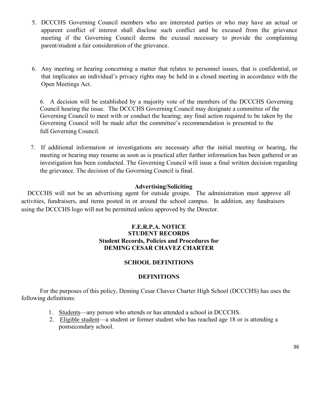- 5. DCCCHS Governing Council members who are interested parties or who may have an actual or apparent conflict of interest shall disclose such conflict and be excused from the grievance meeting if the Governing Council deems the excusal necessary to provide the complaining parent/student a fair consideration of the grievance.
- 6. Any meeting or hearing concerning a matter that relates to personnel issues, that is confidential, or that implicates an individual's privacy rights may be held in a closed meeting in accordance with the Open Meetings Act.

6. A decision will be established by a majority vote of the members of the DCCCHS Governing Council hearing the issue. The DCCCHS Governing Council may designate a committee of the Governing Council to meet with or conduct the hearing; any final action required to be taken by the Governing Council will be made after the committee's recommendation is presented to the full Governing Council.

7. If additional information or investigations are necessary after the initial meeting or hearing, the meeting or hearing may resume as soon as is practical after further information has been gathered or an investigation has been conducted. The Governing Council will issue a final written decision regarding the grievance. The decision of the Governing Council is final.

#### **Advertising/Soliciting**

DCCCHS will not be an advertising agent for outside groups. The administration must approve all activities, fundraisers, and items posted in or around the school campus. In addition, any fundraisers using the DCCCHS logo will not be permitted unless approved by the Director.

#### **F.E.R.P.A. NOTICE STUDENT RECORDS Student Records, Policies and Procedures for DEMING CESAR CHAVEZ CHARTER**

#### **SCHOOL DEFINITIONS**

#### **DEFINITIONS**

For the purposes of this policy, Deming Cesar Chavez Charter High School (DCCCHS) has uses the following definitions:

- 1. Students—any person who attends or has attended a school in DCCCHS.
- 2. Eligible student—a student or former student who has reached age 18 or is attending a postsecondary school.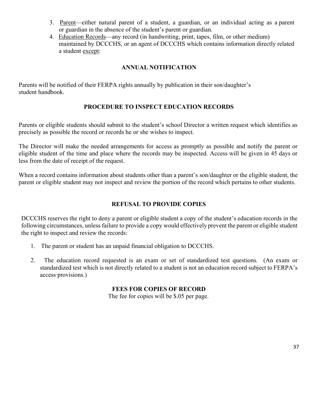- 3. Parent—either natural parent of a student, a guardian, or an individual acting as a parent or guardian in the absence of the student's parent or guardian.
- 4. Education Records—any record (in handwriting, print, tapes, film, or other medium) maintained by DCCCHS, or an agent of DCCCHS which contains information directly related a student except:

### **ANNUAL NOTIFICATION**

Parents will be notified of their FERPA rights annually by publication in their son/daughter's student handbook.

### **PROCEDURE TO INSPECT EDUCATION RECORDS**

Parents or eligible students should submit to the student's school Director a written request which identifies as precisely as possible the record or records he or she wishes to inspect.

The Director will make the needed arrangements for access as promptly as possible and notify the parent or eligible student of the time and place where the records may be inspected. Access will be given in 45 days or less from the date of receipt of the request.

When a record contains information about students other than a parent's son/daughter or the eligible student, the parent or eligible student may not inspect and review the portion of the record which pertains to other students.

### **REFUSAL TO PROVIDE COPIES**

DCCCHS reserves the right to deny a parent or eligible student a copy of the student's education records in the following circumstances, unless failure to provide a copy would effectively prevent the parent or eligible student the right to inspect and review the records:

- 1. The parent or student has an unpaid financial obligation to DCCCHS.
- 2. The education record requested is an exam or set of standardized test questions. (An exam or standardized test which is not directly related to a student is not an education record subject to FERPA's access provisions.)

### **FEES FOR COPIES OF RECORD**

The fee for copies will be \$.05 per page.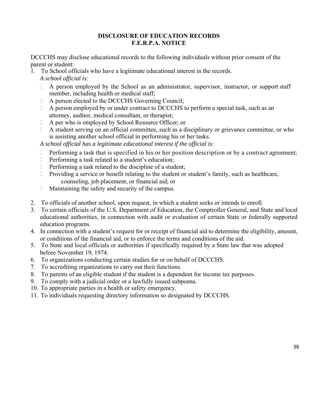### **DISCLOSURE OF EDUCATION RECORDS F.E.R.P.A. NOTICE**

DCCCHS may disclose educational records to the following individuals without prior consent of the parent or student:

1. To School officials who have a legitimate educational interest in the records.

*A school official is*:

- A person employed by the School as an administrator, supervisor, instructor, or support staff member, including health or medical staff;
- A person elected to the DCCCHS Governing Council;
- A person employed by or under contract to DCCCHS to perform a special task, such as an attorney, auditor, medical consultant, or therapist;
- A per who is employed by School Resource Officer; or
- A student serving on an official committee, such as a disciplinary or grievance committee, or who is assisting another school official in performing his or her tasks.

*A school official has a legitimate educational interest if the official is*:

- Performing a task that is specified in his or her position description or by a contract agreement;
- Performing a task related to a student's education;
- Performing a task related to the discipline of a student;
- **Providing a service or benefit relating to the student or student's family, such as healthcare,** counseling, job placement, or financial aid; or
- Maintaining the safety and security of the campus.
- 2. To officials of another school, upon request, in which a student seeks or intends to enroll.
- 3. To certain officials of the U.S. Department of Education, the Comptroller General, and State and local educational authorities, in connection with audit or evaluation of certain State or federally supported education programs.
- 4. In connection with a student's request for or receipt of financial aid to determine the eligibility, amount, or conditions of the financial aid, or to enforce the terms and conditions of the aid.
- 5. To State and local officials or authorities if specifically required by a State law that was adopted before November 19, 1974.
- 6. To organizations conducting certain studies for or on behalf of DCCCHS.
- 7. To accrediting organizations to carry out their functions.
- 8. To parents of an eligible student if the student is a dependent for income tax purposes.
- 9. To comply with a judicial order or a lawfully issued subpoena.
- 10. To appropriate parties in a health or safety emergency.
- 11. To individuals requesting directory information so designated by DCCCHS.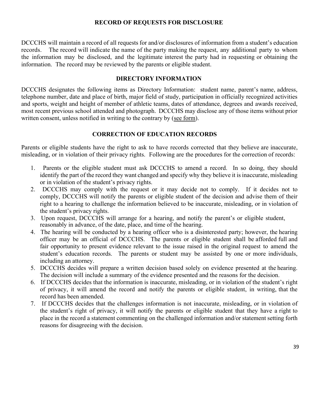#### **RECORD OF REQUESTS FOR DISCLOSURE**

DCCCHS will maintain a record of all requests for and/or disclosures of information from a student's education records. The record will indicate the name of the party making the request, any additional party to whom the information may be disclosed, and the legitimate interest the party had in requesting or obtaining the information. The record may be reviewed by the parents or eligible student.

#### **DIRECTORY INFORMATION**

DCCCHS designates the following items as Directory Information: student name, parent's name, address, telephone number, date and place of birth, major field of study, participation in officially recognized activities and sports, weight and height of member of athletic teams, dates of attendance, degrees and awards received, most recent previous school attended and photograph. DCCCHS may disclose any of those items without prior written consent, unless notified in writing to the contrary by (see form).

### **CORRECTION OF EDUCATION RECORDS**

Parents or eligible students have the right to ask to have records corrected that they believe are inaccurate, misleading, or in violation of their privacy rights. Following are the procedures for the correction of records:

- 1. Parents or the eligible student must ask DCCCHS to amend a record. In so doing, they should identify the part of the record they want changed and specify why they believe it is inaccurate, misleading or in violation of the student's privacy rights.
- 2. DCCCHS may comply with the request or it may decide not to comply. If it decides not to comply, DCCCHS will notify the parents or eligible student of the decision and advise them of their right to a hearing to challenge the information believed to be inaccurate, misleading, or in violation of the student's privacy rights.
- 3. Upon request, DCCCHS will arrange for a hearing, and notify the parent's or eligible student, reasonably in advance, of the date, place, and time of the hearing.
- 4. The hearing will be conducted by a hearing officer who is a disinterested party; however, the hearing officer may be an official of DCCCHS. The parents or eligible student shall be afforded full and fair opportunity to present evidence relevant to the issue raised in the original request to amend the student's education records. The parents or student may be assisted by one or more individuals, including an attorney.
- 5. DCCCHS decides will prepare a written decision based solely on evidence presented at the hearing. The decision will include a summary of the evidence presented and the reasons for the decision.
- 6. If DCCCHS decides that the information is inaccurate, misleading, or in violation of the student's right of privacy, it will amend the record and notify the parents or eligible student, in writing, that the record has been amended.
- 7. If DCCCHS decides that the challenges information is not inaccurate, misleading, or in violation of the student's right of privacy, it will notify the parents or eligible student that they have a right to place in the record a statement commenting on the challenged information and/or statement setting forth reasons for disagreeing with the decision.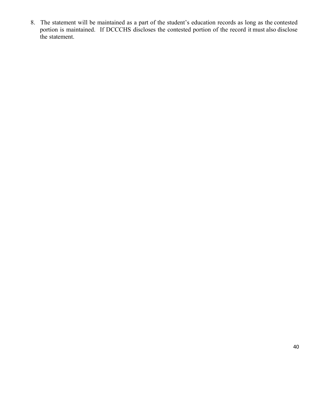8. The statement will be maintained as a part of the student's education records as long as the contested portion is maintained. If DCCCHS discloses the contested portion of the record it must also disclose the statement.